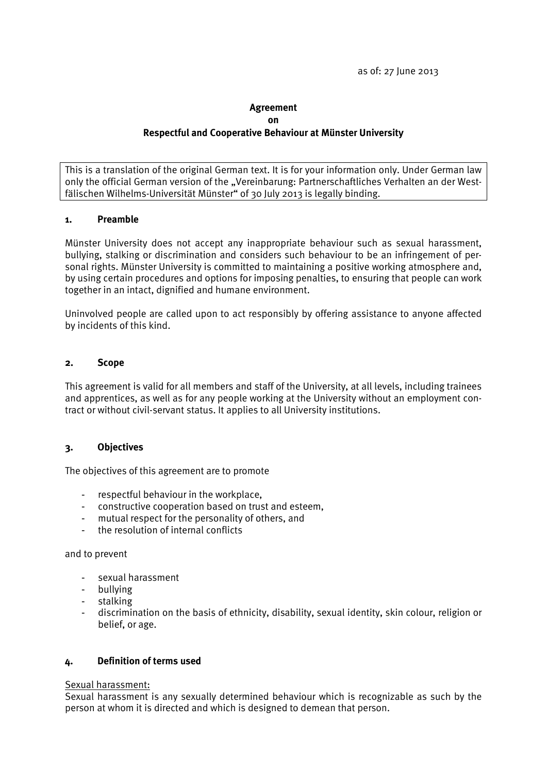# **Agreement on Respectful and Cooperative Behaviour at Münster University**

This is a translation of the original German text. It is for your information only. Under German law only the official German version of the "Vereinbarung: Partnerschaftliches Verhalten an der Westfälischen Wilhelms-Universität Münster" of 30 July 2013 is legally binding.

### **1. Preamble**

Münster University does not accept any inappropriate behaviour such as sexual harassment, bullying, stalking or discrimination and considers such behaviour to be an infringement of personal rights. Münster University is committed to maintaining a positive working atmosphere and, by using certain procedures and options for imposing penalties, to ensuring that people can work together in an intact, dignified and humane environment.

Uninvolved people are called upon to act responsibly by offering assistance to anyone affected by incidents of this kind.

### **2. Scope**

This agreement is valid for all members and staff of the University, at all levels, including trainees and apprentices, as well as for any people working at the University without an employment contract or without civil-servant status. It applies to all University institutions.

## **3. Objectives**

The objectives of this agreement are to promote

- respectful behaviour in the workplace,
- constructive cooperation based on trust and esteem,
- mutual respect for the personality of others, and
- the resolution of internal conflicts

#### and to prevent

- sexual harassment
- bullying
- stalking
- discrimination on the basis of ethnicity, disability, sexual identity, skin colour, religion or belief, or age.

# **4. Definition of terms used**

#### Sexual harassment:

Sexual harassment is any sexually determined behaviour which is recognizable as such by the person at whom it is directed and which is designed to demean that person.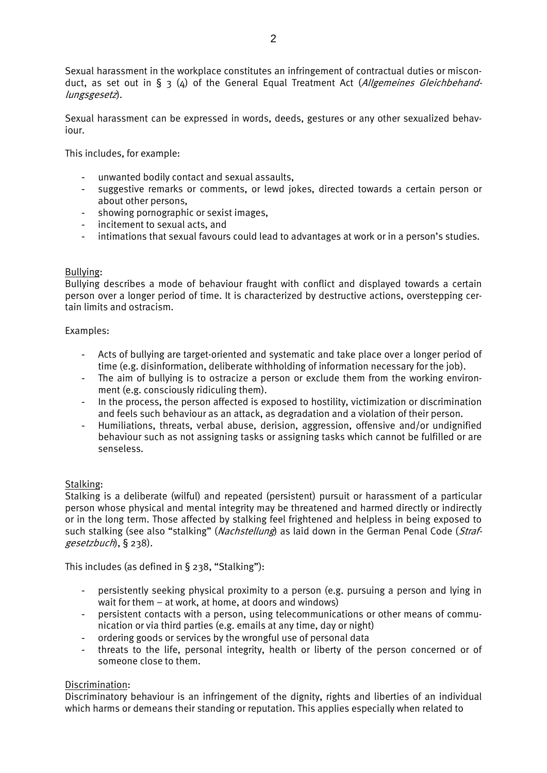Sexual harassment in the workplace constitutes an infringement of contractual duties or misconduct, as set out in  $\S$  3 (4) of the General Equal Treatment Act (Allgemeines Gleichbehandlungsgesetz).

Sexual harassment can be expressed in words, deeds, gestures or any other sexualized behaviour.

This includes, for example:

- unwanted bodily contact and sexual assaults,
- suggestive remarks or comments, or lewd jokes, directed towards a certain person or about other persons,
- showing pornographic or sexist images,
- incitement to sexual acts, and
- intimations that sexual favours could lead to advantages at work or in a person's studies.

## Bullying:

Bullying describes a mode of behaviour fraught with conflict and displayed towards a certain person over a longer period of time. It is characterized by destructive actions, overstepping certain limits and ostracism.

### Examples:

- Acts of bullying are target-oriented and systematic and take place over a longer period of time (e.g. disinformation, deliberate withholding of information necessary for the job).
- The aim of bullying is to ostracize a person or exclude them from the working environment (e.g. consciously ridiculing them).
- In the process, the person affected is exposed to hostility, victimization or discrimination and feels such behaviour as an attack, as degradation and a violation of their person.
- Humiliations, threats, verbal abuse, derision, aggression, offensive and/or undignified behaviour such as not assigning tasks or assigning tasks which cannot be fulfilled or are senseless.

## Stalking:

Stalking is a deliberate (wilful) and repeated (persistent) pursuit or harassment of a particular person whose physical and mental integrity may be threatened and harmed directly or indirectly or in the long term. Those affected by stalking feel frightened and helpless in being exposed to such stalking (see also "stalking" (Nachstellung) as laid down in the German Penal Code (Strafgesetzbuch), § 238).

This includes (as defined in § 238, "Stalking"):

- persistently seeking physical proximity to a person (e.g. pursuing a person and lying in wait for them – at work, at home, at doors and windows)
- persistent contacts with a person, using telecommunications or other means of communication or via third parties (e.g. emails at any time, day or night)
- ordering goods or services by the wrongful use of personal data
- threats to the life, personal integrity, health or liberty of the person concerned or of someone close to them.

## Discrimination:

Discriminatory behaviour is an infringement of the dignity, rights and liberties of an individual which harms or demeans their standing or reputation. This applies especially when related to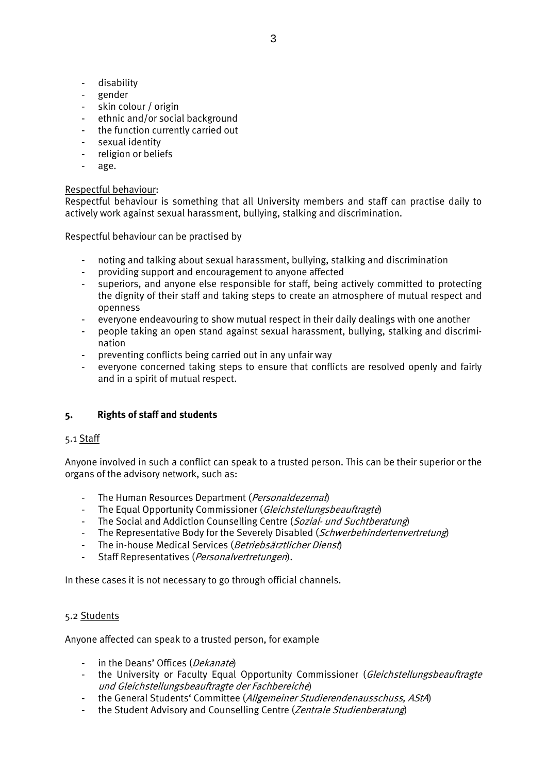- disability
- gender
- skin colour / origin
- ethnic and/or social background
- the function currently carried out
- sexual identity
- religion or beliefs
- age.

### Respectful behaviour:

Respectful behaviour is something that all University members and staff can practise daily to actively work against sexual harassment, bullying, stalking and discrimination.

Respectful behaviour can be practised by

- noting and talking about sexual harassment, bullying, stalking and discrimination
- providing support and encouragement to anyone affected
- superiors, and anyone else responsible for staff, being actively committed to protecting the dignity of their staff and taking steps to create an atmosphere of mutual respect and openness
- everyone endeavouring to show mutual respect in their daily dealings with one another
- people taking an open stand against sexual harassment, bullying, stalking and discrimination
- preventing conflicts being carried out in any unfair way
- everyone concerned taking steps to ensure that conflicts are resolved openly and fairly and in a spirit of mutual respect.

# **5. Rights of staff and students**

## 5.1 Staff

Anyone involved in such a conflict can speak to a trusted person. This can be their superior or the organs of the advisory network, such as:

- The Human Resources Department (Personaldezernat)
- The Equal Opportunity Commissioner (Gleichstellungsbeauftragte)
- The Social and Addiction Counselling Centre (Sozial- und Suchtberatung)
- The Representative Body for the Severely Disabled (Schwerbehindertenvertretung)
- The in-house Medical Services (Betriebsärztlicher Dienst)
- Staff Representatives (Personalvertretungen).

In these cases it is not necessary to go through official channels.

## 5.2 Students

Anyone affected can speak to a trusted person, for example

- in the Deans' Offices (*Dekanate*)
- the University or Faculty Equal Opportunity Commissioner (Gleichstellungsbeauftragte und Gleichstellungsbeauftragte der Fachbereiche)
- the General Students' Committee (Allgemeiner Studierendenausschuss, AStA)
- the Student Advisory and Counselling Centre (Zentrale Studienberatung)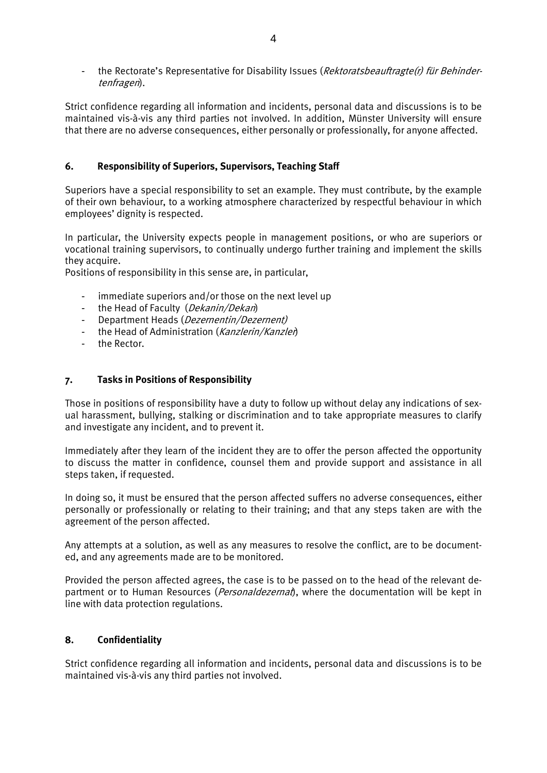- the Rectorate's Representative for Disability Issues (*Rektoratsbeauftragte(r) für Behinder*tenfragen).

Strict confidence regarding all information and incidents, personal data and discussions is to be maintained vis-à-vis any third parties not involved. In addition, Münster University will ensure that there are no adverse consequences, either personally or professionally, for anyone affected.

## **6. Responsibility of Superiors, Supervisors, Teaching Staff**

Superiors have a special responsibility to set an example. They must contribute, by the example of their own behaviour, to a working atmosphere characterized by respectful behaviour in which employees' dignity is respected.

In particular, the University expects people in management positions, or who are superiors or vocational training supervisors, to continually undergo further training and implement the skills they acquire.

Positions of responsibility in this sense are, in particular,

- immediate superiors and/or those on the next level up
- the Head of Faculty (*Dekanin/Dekan*)
- Department Heads (*Dezernentin/Dezernent*)
- the Head of Administration (Kanzlerin/Kanzler)
- the Rector.

## **7. Tasks in Positions of Responsibility**

Those in positions of responsibility have a duty to follow up without delay any indications of sexual harassment, bullying, stalking or discrimination and to take appropriate measures to clarify and investigate any incident, and to prevent it.

Immediately after they learn of the incident they are to offer the person affected the opportunity to discuss the matter in confidence, counsel them and provide support and assistance in all steps taken, if requested.

In doing so, it must be ensured that the person affected suffers no adverse consequences, either personally or professionally or relating to their training; and that any steps taken are with the agreement of the person affected.

Any attempts at a solution, as well as any measures to resolve the conflict, are to be documented, and any agreements made are to be monitored.

Provided the person affected agrees, the case is to be passed on to the head of the relevant department or to Human Resources (*Personaldezernat*), where the documentation will be kept in line with data protection regulations.

## **8. Confidentiality**

Strict confidence regarding all information and incidents, personal data and discussions is to be maintained vis-à-vis any third parties not involved.